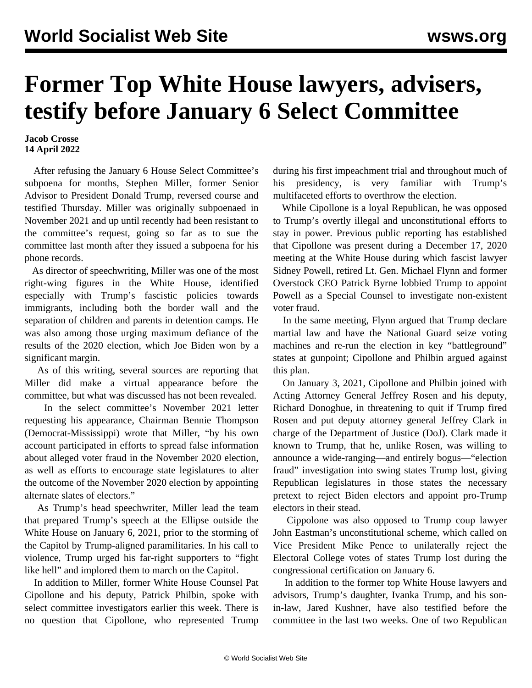## **Former Top White House lawyers, advisers, testify before January 6 Select Committee**

## **Jacob Crosse 14 April 2022**

 After refusing the January 6 House Select Committee's subpoena for months, Stephen Miller, former Senior Advisor to President Donald Trump, reversed course and testified Thursday. Miller was originally subpoenaed in November 2021 and up until recently had been resistant to the committee's request, going so far as to sue the committee last month after they issued a subpoena for his phone records.

 As director of speechwriting, Miller was one of the most right-wing figures in the White House, identified especially with Trump's fascistic policies towards immigrants, including both the border wall and the separation of children and parents in detention camps. He was also among those urging maximum defiance of the results of the 2020 election, which Joe Biden won by a significant margin.

 As of this writing, several sources are reporting that Miller did make a virtual appearance before the committee, but what was discussed has not been revealed.

 In the select committee's November 2021 letter requesting his appearance, Chairman Bennie Thompson (Democrat-Mississippi) wrote that Miller, "by his own account participated in efforts to spread false information about alleged voter fraud in the November 2020 election, as well as efforts to encourage state legislatures to alter the outcome of the November 2020 election by appointing alternate slates of electors."

 As Trump's head speechwriter, Miller lead the team that prepared Trump's speech at the Ellipse outside the White House on January 6, 2021, prior to the storming of the Capitol by Trump-aligned paramilitaries. In his call to violence, Trump urged his far-right supporters to "fight like hell" and implored them to march on the Capitol.

 In addition to Miller, former White House Counsel Pat Cipollone and his deputy, Patrick Philbin, spoke with select committee investigators earlier this week. There is no question that Cipollone, who represented Trump

during his first impeachment trial and throughout much of his presidency, is very familiar with Trump's multifaceted efforts to overthrow the election.

 While Cipollone is a loyal Republican, he was opposed to Trump's overtly illegal and unconstitutional efforts to stay in power. Previous public reporting has established that Cipollone was present during a December 17, 2020 meeting at the White House during which fascist lawyer Sidney Powell, retired Lt. Gen. Michael Flynn and former Overstock CEO Patrick Byrne lobbied Trump to appoint Powell as a Special Counsel to investigate non-existent voter fraud.

 In the same meeting, Flynn argued that Trump declare martial law and have the National Guard seize voting machines and re-run the election in key "battleground" states at gunpoint; Cipollone and Philbin argued against this plan.

 On January 3, 2021, Cipollone and Philbin joined with Acting Attorney General Jeffrey Rosen and his deputy, Richard Donoghue, in threatening to quit if Trump fired Rosen and put deputy attorney general Jeffrey Clark in charge of the Department of Justice (DoJ). Clark made it known to Trump, that he, unlike Rosen, was willing to announce a wide-ranging—and entirely bogus—"election fraud" investigation into swing states Trump lost, giving Republican legislatures in those states the necessary pretext to reject Biden electors and appoint pro-Trump electors in their stead.

 Cippolone was also opposed to Trump coup lawyer John Eastman's unconstitutional scheme, which called on Vice President Mike Pence to unilaterally reject the Electoral College votes of states Trump lost during the congressional certification on January 6.

 In addition to the former top White House lawyers and advisors, Trump's daughter, Ivanka Trump, and his sonin-law, Jared Kushner, have also testified before the committee in the last two weeks. One of two Republican